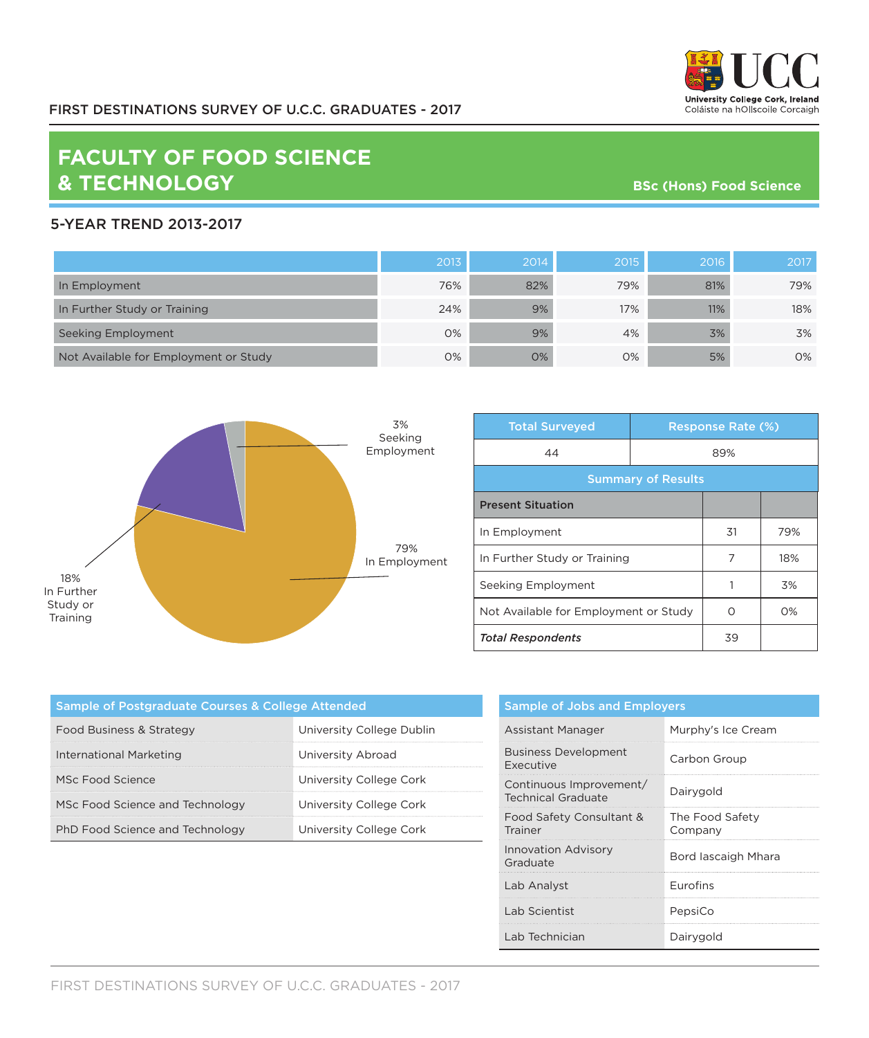

## **FACULTY OF FOOD SCIENCE & TECHNOLOGY**

**BSc (Hons) Food Science** 

## 5-YEAR TREND 2013-2017

|                                       | 2013 | 2014 | 2015 | 2016 | 2017 |
|---------------------------------------|------|------|------|------|------|
| In Employment                         | 76%  | 82%  | 79%  | 81%  | 79%  |
| In Further Study or Training          | 24%  | 9%   | 17%  | 11%  | 18%  |
| Seeking Employment                    | 0%   | 9%   | 4%   | 3%   | 3%   |
| Not Available for Employment or Study | 0%   | 0%   | 0%   | 5%   | 0%   |



| <b>Total Surveyed</b>                 |     | <b>Response Rate (%)</b> |       |  |
|---------------------------------------|-----|--------------------------|-------|--|
| 44                                    | 89% |                          |       |  |
| <b>Summary of Results</b>             |     |                          |       |  |
| <b>Present Situation</b>              |     |                          |       |  |
| In Employment                         |     | 31                       | 79%   |  |
| In Further Study or Training          |     | 7                        | 18%   |  |
| Seeking Employment                    |     |                          | 3%    |  |
| Not Available for Employment or Study |     | Ω                        | $O\%$ |  |
| <b>Total Respondents</b>              |     | 39                       |       |  |

| Sample of Postgraduate Courses & College Attended |                           |  |  |
|---------------------------------------------------|---------------------------|--|--|
| Food Business & Strategy                          | University College Dublin |  |  |
| International Marketing                           | University Abroad         |  |  |
| MSc Food Science                                  | University College Cork   |  |  |
| MSc Food Science and Technology                   | University College Cork   |  |  |
| PhD Food Science and Technology                   | University College Cork   |  |  |

| <b>Sample of Jobs and Employers</b>                  |                            |  |  |
|------------------------------------------------------|----------------------------|--|--|
| Assistant Manager                                    | Murphy's Ice Cream         |  |  |
| <b>Business Development</b><br>Executive             | Carbon Group               |  |  |
| Continuous Improvement/<br><b>Technical Graduate</b> | Dairygold                  |  |  |
| Food Safety Consultant &<br>Trainer                  | The Food Safety<br>Company |  |  |
| <b>Innovation Advisory</b><br>Graduate               | Bord lascaigh Mhara        |  |  |
| Lab Analyst                                          | <b>Furofins</b>            |  |  |
| Lab Scientist                                        | PepsiCo                    |  |  |
| Lab Technician                                       | Dairygold                  |  |  |